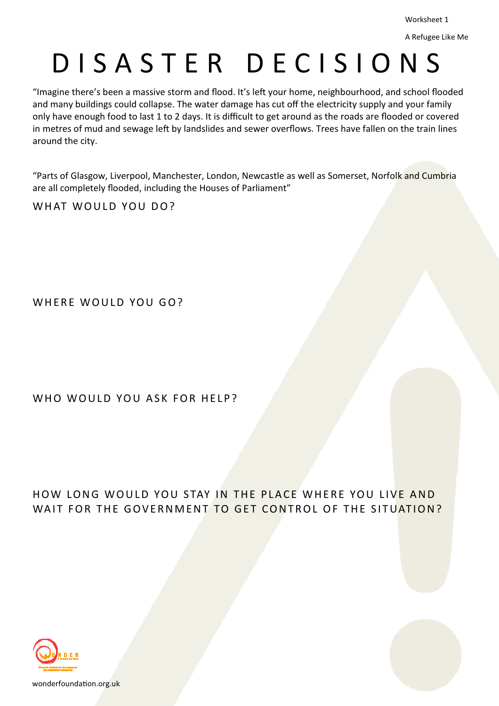## D I S A S T E R D E C I S I O N S

"Imagine there's been a massive storm and flood. It's left your home, neighbourhood, and school flooded and many buildings could collapse. The water damage has cut off the electricity supply and your family only have enough food to last 1 to 2 days. It is difficult to get around as the roads are flooded or covered in metres of mud and sewage left by landslides and sewer overflows. Trees have fallen on the train lines around the city.

"Parts of Glasgow, Liverpool, Manchester, London, Newcastle as well as Somerset, Norfolk and Cumbria are all completely flooded, including the Houses of Parliament"

WHAT WOULD YOU DO?

WHERE WOULD YOU GO?

WHO WOULD YOU ASK FOR HELP?

## HOW LONG WOULD YOU STAY IN THE PLACE WHERE YOU LIVE AND WAIT FOR THE GOVERNMENT TO GET CONTROL OF THE SITUATION?



wonderfoundation.org.uk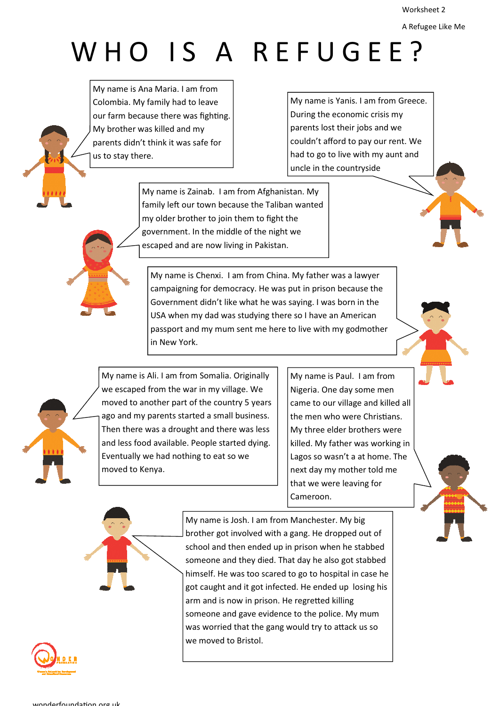Worksheet 2

```
A Refugee Like Me
```
## WHO IS A REFUGEE?

My name is Ana Maria. I am from Colombia. My family had to leave our farm because there was fighting. My brother was killed and my parents didn't think it was safe for us to stay there.

My name is Yanis. I am from Greece. During the economic crisis my parents lost their jobs and we couldn't afford to pay our rent. We had to go to live with my aunt and uncle in the countryside

My name is Zainab. I am from Afghanistan. My family left our town because the Taliban wanted my older brother to join them to fight the government. In the middle of the night we escaped and are now living in Pakistan.

My name is Chenxi. I am from China. My father was a lawyer campaigning for democracy. He was put in prison because the Government didn't like what he was saying. I was born in the USA when my dad was studying there so I have an American passport and my mum sent me here to live with my godmother in New York.

My name is Ali. I am from Somalia. Originally we escaped from the war in my village. We moved to another part of the country 5 years ago and my parents started a small business. Then there was a drought and there was less and less food available. People started dying. Eventually we had nothing to eat so we moved to Kenya.

My name is Paul. I am from Nigeria. One day some men came to our village and killed all the men who were Christians. My three elder brothers were killed. My father was working in Lagos so wasn't a at home. The next day my mother told me that we were leaving for Cameroon.



My name is Josh. I am from Manchester. My big brother got involved with a gang. He dropped out of school and then ended up in prison when he stabbed someone and they died. That day he also got stabbed himself. He was too scared to go to hospital in case he got caught and it got infected. He ended up losing his arm and is now in prison. He regretted killing someone and gave evidence to the police. My mum was worried that the gang would try to attack us so we moved to Bristol.